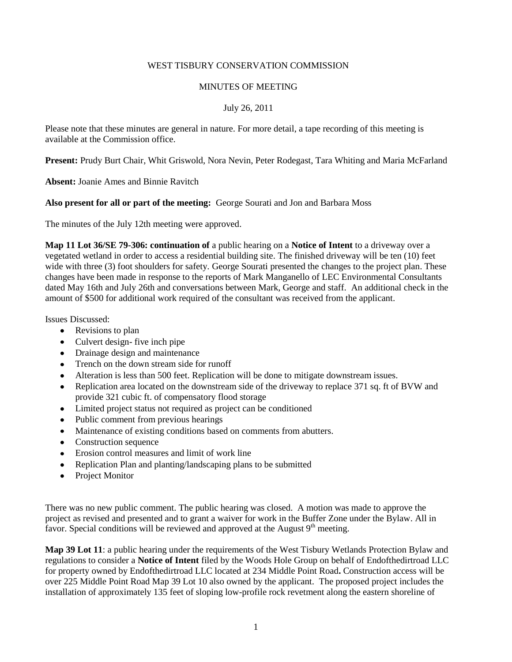# WEST TISBURY CONSERVATION COMMISSION

### MINUTES OF MEETING

# July 26, 2011

Please note that these minutes are general in nature. For more detail, a tape recording of this meeting is available at the Commission office.

**Present:** Prudy Burt Chair, Whit Griswold, Nora Nevin, Peter Rodegast, Tara Whiting and Maria McFarland

**Absent:** Joanie Ames and Binnie Ravitch

### **Also present for all or part of the meeting:** George Sourati and Jon and Barbara Moss

The minutes of the July 12th meeting were approved.

**Map 11 Lot 36/SE 79-306: continuation of** a public hearing on a **Notice of Intent** to a driveway over a vegetated wetland in order to access a residential building site. The finished driveway will be ten (10) feet wide with three (3) foot shoulders for safety. George Sourati presented the changes to the project plan. These changes have been made in response to the reports of Mark Manganello of LEC Environmental Consultants dated May 16th and July 26th and conversations between Mark, George and staff. An additional check in the amount of \$500 for additional work required of the consultant was received from the applicant.

Issues Discussed:

- Revisions to plan
- Culvert design- five inch pipe
- Drainage design and maintenance
- Trench on the down stream side for runoff
- Alteration is less than 500 feet. Replication will be done to mitigate downstream issues.
- Replication area located on the downstream side of the driveway to replace 371 sq. ft of BVW and provide 321 cubic ft. of compensatory flood storage
- Limited project status not required as project can be conditioned
- Public comment from previous hearings  $\bullet$
- Maintenance of existing conditions based on comments from abutters.
- Construction sequence  $\bullet$
- Erosion control measures and limit of work line
- Replication Plan and planting/landscaping plans to be submitted  $\bullet$
- Project Monitor

There was no new public comment. The public hearing was closed. A motion was made to approve the project as revised and presented and to grant a waiver for work in the Buffer Zone under the Bylaw. All in favor. Special conditions will be reviewed and approved at the August  $9<sup>th</sup>$  meeting.

**Map 39 Lot 11**: a public hearing under the requirements of the West Tisbury Wetlands Protection Bylaw and regulations to consider a **Notice of Intent** filed by the Woods Hole Group on behalf of Endofthedirtroad LLC for property owned by Endofthedirtroad LLC located at 234 Middle Point Road**.** Construction access will be over 225 Middle Point Road Map 39 Lot 10 also owned by the applicant.The proposed project includes the installation of approximately 135 feet of sloping low-profile rock revetment along the eastern shoreline of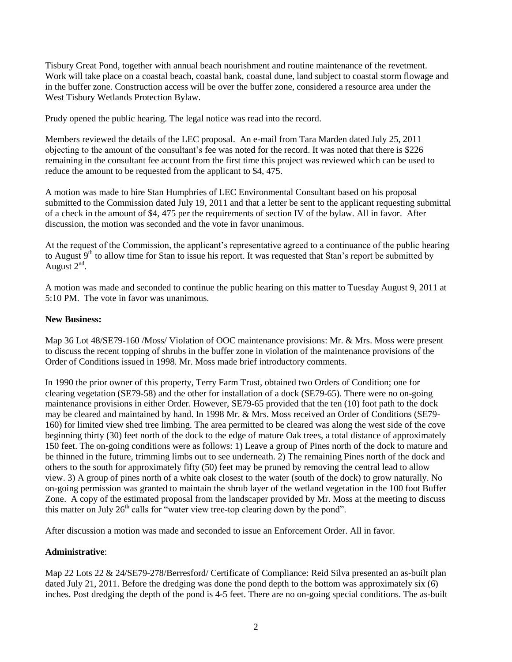Tisbury Great Pond, together with annual beach nourishment and routine maintenance of the revetment. Work will take place on a coastal beach, coastal bank, coastal dune, land subject to coastal storm flowage and in the buffer zone. Construction access will be over the buffer zone, considered a resource area under the West Tisbury Wetlands Protection Bylaw.

Prudy opened the public hearing. The legal notice was read into the record.

Members reviewed the details of the LEC proposal. An e-mail from Tara Marden dated July 25, 2011 objecting to the amount of the consultant's fee was noted for the record. It was noted that there is \$226 remaining in the consultant fee account from the first time this project was reviewed which can be used to reduce the amount to be requested from the applicant to \$4, 475.

A motion was made to hire Stan Humphries of LEC Environmental Consultant based on his proposal submitted to the Commission dated July 19, 2011 and that a letter be sent to the applicant requesting submittal of a check in the amount of \$4, 475 per the requirements of section IV of the bylaw. All in favor. After discussion, the motion was seconded and the vote in favor unanimous.

At the request of the Commission, the applicant's representative agreed to a continuance of the public hearing to August 9<sup>th</sup> to allow time for Stan to issue his report. It was requested that Stan's report be submitted by August  $2<sup>nd</sup>$ .

A motion was made and seconded to continue the public hearing on this matter to Tuesday August 9, 2011 at 5:10 PM. The vote in favor was unanimous.

# **New Business:**

Map 36 Lot 48/SE79-160 /Moss/ Violation of OOC maintenance provisions: Mr. & Mrs. Moss were present to discuss the recent topping of shrubs in the buffer zone in violation of the maintenance provisions of the Order of Conditions issued in 1998. Mr. Moss made brief introductory comments.

In 1990 the prior owner of this property, Terry Farm Trust, obtained two Orders of Condition; one for clearing vegetation (SE79-58) and the other for installation of a dock (SE79-65). There were no on-going maintenance provisions in either Order. However, SE79-65 provided that the ten (10) foot path to the dock may be cleared and maintained by hand. In 1998 Mr. & Mrs. Moss received an Order of Conditions (SE79- 160) for limited view shed tree limbing. The area permitted to be cleared was along the west side of the cove beginning thirty (30) feet north of the dock to the edge of mature Oak trees, a total distance of approximately 150 feet. The on-going conditions were as follows: 1) Leave a group of Pines north of the dock to mature and be thinned in the future, trimming limbs out to see underneath. 2) The remaining Pines north of the dock and others to the south for approximately fifty (50) feet may be pruned by removing the central lead to allow view. 3) A group of pines north of a white oak closest to the water (south of the dock) to grow naturally. No on-going permission was granted to maintain the shrub layer of the wetland vegetation in the 100 foot Buffer Zone. A copy of the estimated proposal from the landscaper provided by Mr. Moss at the meeting to discuss this matter on July  $26<sup>th</sup>$  calls for "water view tree-top clearing down by the pond".

After discussion a motion was made and seconded to issue an Enforcement Order. All in favor.

# **Administrative**:

Map 22 Lots 22 & 24/SE79-278/Berresford/ Certificate of Compliance: Reid Silva presented an as-built plan dated July 21, 2011. Before the dredging was done the pond depth to the bottom was approximately six (6) inches. Post dredging the depth of the pond is 4-5 feet. There are no on-going special conditions. The as-built